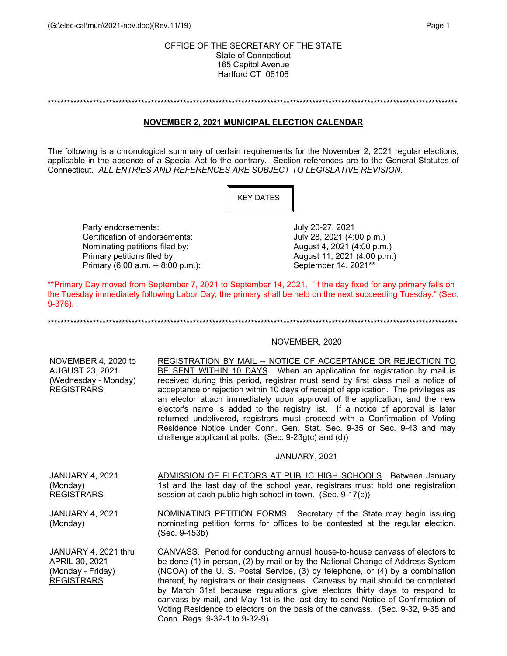**\*\*\*\*\*\*\*\*\*\*\*\*\*\*\*\*\*\*\*\*\*\*\*\*\*\*\*\*\*\*\*\*\*\*\*\*\*\*\*\*\*\*\*\*\*\*\*\*\*\*\*\*\*\*\*\*\*\*\*\*\*\*\*\*\*\*\*\*\*\*\*\*\*\*\*\*\*\*\*\*\*\*\*\*\*\*\*\*\*\*\*\*\*\*\*\*\*\*\*\*\*\*\*\*\*\*\*\*\*\*\*\*\*\*\*\*\*\*\*\*\*\*\*\*\*\*\***

## **NOVEMBER 2, 2021 MUNICIPAL ELECTION CALENDAR**

The following is a chronological summary of certain requirements for the November 2, 2021 regular elections, applicable in the absence of a Special Act to the contrary. Section references are to the General Statutes of Connecticut. *ALL ENTRIES AND REFERENCES ARE SUBJECT TO LEGISLATIVE REVISION*.



Party endorsements:<br>Certification of endorsements: University Duly 20-27, 2021 (4:00 p.m.) Certification of endorsements:<br>
Nominating petitions filed by:<br>  $\begin{array}{ccc}\n\text{August 4, 2021 (4:00 p.m.)}\n\end{array}$ Nominating petitions filed by: Primary petitions filed by: August 11, 2021 (4:00 p.m.) Primary (6:00 a.m. -- 8:00 p.m.): September 14, 2021\*\*

\*\*Primary Day moved from September 7, 2021 to September 14, 2021. "If the day fixed for any primary falls on the Tuesday immediately following Labor Day, the primary shall be held on the next succeeding Tuesday." (Sec. 9-376).

#### **\*\*\*\*\*\*\*\*\*\*\*\*\*\*\*\*\*\*\*\*\*\*\*\*\*\*\*\*\*\*\*\*\*\*\*\*\*\*\*\*\*\*\*\*\*\*\*\*\*\*\*\*\*\*\*\*\*\*\*\*\*\*\*\*\*\*\*\*\*\*\*\*\*\*\*\*\*\*\*\*\*\*\*\*\*\*\*\*\*\*\*\*\*\*\*\*\*\*\*\*\*\*\*\*\*\*\*\*\*\*\*\*\*\*\*\*\*\*\*\*\*\*\*\*\*\*\***

# NOVEMBER, 2020

| NOVEMBER 4, 2020 to<br><b>AUGUST 23, 2021</b><br>(Wednesday - Monday)<br><b>REGISTRARS</b> | REGISTRATION BY MAIL -- NOTICE OF ACCEPTANCE OR REJECTION TO<br>BE SENT WITHIN 10 DAYS. When an application for registration by mail is<br>received during this period, registrar must send by first class mail a notice of<br>acceptance or rejection within 10 days of receipt of application. The privileges as<br>an elector attach immediately upon approval of the application, and the new<br>elector's name is added to the registry list. If a notice of approval is later<br>returned undelivered, registrars must proceed with a Confirmation of Voting<br>Residence Notice under Conn. Gen. Stat. Sec. 9-35 or Sec. 9-43 and may<br>challenge applicant at polls. (Sec. 9-23g(c) and (d)) |
|--------------------------------------------------------------------------------------------|-------------------------------------------------------------------------------------------------------------------------------------------------------------------------------------------------------------------------------------------------------------------------------------------------------------------------------------------------------------------------------------------------------------------------------------------------------------------------------------------------------------------------------------------------------------------------------------------------------------------------------------------------------------------------------------------------------|
|                                                                                            | JANUARY, 2021                                                                                                                                                                                                                                                                                                                                                                                                                                                                                                                                                                                                                                                                                         |
| <b>JANUARY 4, 2021</b><br>(Monday)<br><b>REGISTRARS</b>                                    | ADMISSION OF ELECTORS AT PUBLIC HIGH SCHOOLS. Between January<br>1st and the last day of the school year, registrars must hold one registration<br>session at each public high school in town. (Sec. 9-17(c))                                                                                                                                                                                                                                                                                                                                                                                                                                                                                         |
| <b>JANUARY 4, 2021</b><br>(Monday)                                                         | <b>NOMINATING PETITION FORMS.</b> Secretary of the State may begin issuing<br>nominating petition forms for offices to be contested at the regular election.<br>(Sec. 9-453b)                                                                                                                                                                                                                                                                                                                                                                                                                                                                                                                         |
| JANUARY 4, 2021 thru<br>APRIL 30, 2021<br>(Monday - Friday)<br><b>REGISTRARS</b>           | CANVASS. Period for conducting annual house-to-house canvass of electors to<br>be done (1) in person, (2) by mail or by the National Change of Address System<br>(NCOA) of the U. S. Postal Service, (3) by telephone, or (4) by a combination<br>thereof, by registrars or their designees. Canvass by mail should be completed<br>by March 31st because regulations give electors thirty days to respond to<br>canvass by mail, and May 1st is the last day to send Notice of Confirmation of<br>Voting Residence to electors on the basis of the canvass. (Sec. 9-32, 9-35 and<br>Conn. Regs. 9-32-1 to 9-32-9)                                                                                    |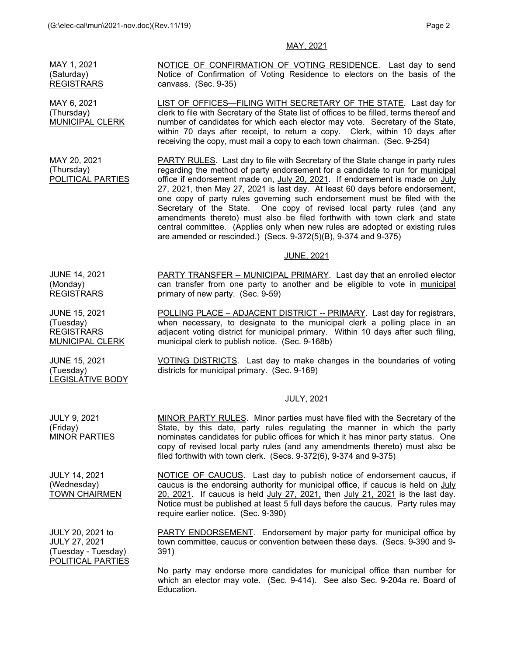### MAY, 2021

MAY 1, 2021 (Saturday) REGISTRARS NOTICE OF CONFIRMATION OF VOTING RESIDENCE. Last day to send Notice of Confirmation of Voting Residence to electors on the basis of the canvass. (Sec. 9-35) MAY 6, 2021

LIST OF OFFICES—FILING WITH SECRETARY OF THE STATE. Last day for clerk to file with Secretary of the State list of offices to be filled, terms thereof and number of candidates for which each elector may vote. Secretary of the State, within 70 days after receipt, to return a copy. Clerk, within 10 days after receiving the copy, must mail a copy to each town chairman. (Sec. 9-254)

PARTY RULES. Last day to file with Secretary of the State change in party rules regarding the method of party endorsement for a candidate to run for municipal office if endorsement made on, July 20, 2021. If endorsement is made on July 27, 2021, then May 27, 2021 is last day. At least 60 days before endorsement, one copy of party rules governing such endorsement must be filed with the Secretary of the State. One copy of revised local party rules (and any amendments thereto) must also be filed forthwith with town clerk and state central committee. (Applies only when new rules are adopted or existing rules are amended or rescinded.) (Secs. 9-372(5)(B), 9-374 and 9-375)

### JUNE, 2021

PARTY TRANSFER -- MUNICIPAL PRIMARY. Last day that an enrolled elector can transfer from one party to another and be eligible to vote in municipal primary of new party. (Sec. 9-59)

POLLING PLACE – ADJACENT DISTRICT -- PRIMARY. Last day for registrars, when necessary, to designate to the municipal clerk a polling place in an adjacent voting district for municipal primary. Within 10 days after such filing, municipal clerk to publish notice. (Sec. 9-168b)

VOTING DISTRICTS. Last day to make changes in the boundaries of voting districts for municipal primary. (Sec. 9-169)

### JULY, 2021

MINOR PARTY RULES. Minor parties must have filed with the Secretary of the State, by this date, party rules regulating the manner in which the party nominates candidates for public offices for which it has minor party status. One copy of revised local party rules (and any amendments thereto) must also be filed forthwith with town clerk. (Secs. 9-372(6), 9-374 and 9-375)

NOTICE OF CAUCUS. Last day to publish notice of endorsement caucus, if caucus is the endorsing authority for municipal office, if caucus is held on July 20, 2021. If caucus is held July 27, 2021, then July 21, 2021 is the last day. Notice must be published at least 5 full days before the caucus. Party rules may require earlier notice. (Sec. 9-390)

PARTY ENDORSEMENT. Endorsement by major party for municipal office by town committee, caucus or convention between these days. (Secs. 9-390 and 9- 391)

 No party may endorse more candidates for municipal office than number for which an elector may vote. (Sec. 9-414). See also Sec. 9-204a re. Board of Education.

JUNE 14, 2021 (Monday) REGISTRARS

(Thursday)

MAY 20, 2021 (Thursday)

MUNICIPAL CLERK

POLITICAL PARTIES

JUNE 15, 2021 (Tuesday) **REGISTRARS** MUNICIPAL CLERK

JUNE 15, 2021 (Tuesday) LEGISLATIVE BODY

JULY 9, 2021 (Friday) MINOR PARTIES

JULY 14, 2021 (Wednesday) TOWN CHAIRMEN

JULY 20, 2021 to JULY 27, 2021 (Tuesday - Tuesday) POLITICAL PARTIES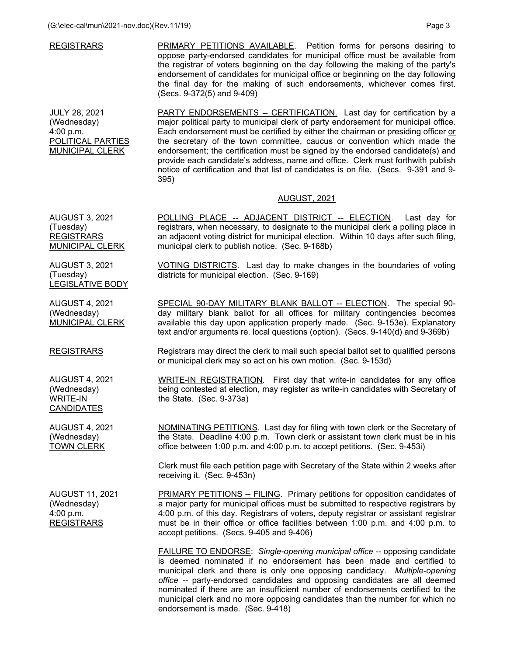| <b>REGISTRARS</b> | PRIMARY PETITIONS AVAILABLE. Petition forms for persons desiring to              |
|-------------------|----------------------------------------------------------------------------------|
|                   | oppose party-endorsed candidates for municipal office must be available from     |
|                   | the registrar of voters beginning on the day following the making of the party's |
|                   | endorsement of candidates for municipal office or beginning on the day following |
|                   | the final day for the making of such endorsements, whichever comes first.        |
|                   | (Secs. 9-372(5) and 9-409)                                                       |

JULY 28, 2021 (Wednesday) 4:00 p.m. POLITICAL PARTIES MUNICIPAL CLERK

PARTY ENDORSEMENTS -- CERTIFICATION. Last day for certification by a major political party to municipal clerk of party endorsement for municipal office. Each endorsement must be certified by either the chairman or presiding officer or the secretary of the town committee, caucus or convention which made the endorsement; the certification must be signed by the endorsed candidate(s) and provide each candidate's address, name and office. Clerk must forthwith publish notice of certification and that list of candidates is on file. (Secs. 9-391 and 9- 395)

### AUGUST, 2021

VOTING DISTRICTS. Last day to make changes in the boundaries of voting

SPECIAL 90-DAY MILITARY BLANK BALLOT -- ELECTION. The special 90 day military blank ballot for all offices for military contingencies becomes available this day upon application properly made. (Sec. 9-153e). Explanatory text and/or arguments re. local questions (option). (Secs. 9-140(d) and 9-369b)

Registrars may direct the clerk to mail such special ballot set to qualified persons

WRITE-IN REGISTRATION. First day that write-in candidates for any office being contested at election, may register as write-in candidates with Secretary of

or municipal clerk may so act on his own motion. (Sec. 9-153d)

AUGUST 3, 2021 (Tuesday) REGISTRARS MUNICIPAL CLERK POLLING PLACE -- ADJACENT DISTRICT -- ELECTION. Last day for registrars, when necessary, to designate to the municipal clerk a polling place in an adjacent voting district for municipal election. Within 10 days after such filing, municipal clerk to publish notice. (Sec. 9-168b)

districts for municipal election. (Sec. 9-169)

the State. (Sec. 9-373a)

AUGUST 3, 2021 (Tuesday) LEGISLATIVE BODY

AUGUST 4, 2021 (Wednesday) MUNICIPAL CLERK

REGISTRARS

AUGUST 4, 2021 (Wednesday) WRITE-IN CANDIDATES

AUGUST 4, 2021 (Wednesday) TOWN CLERK

the State. Deadline 4:00 p.m. Town clerk or assistant town clerk must be in his office between 1:00 p.m. and 4:00 p.m. to accept petitions. (Sec. 9-453i)

NOMINATING PETITIONS. Last day for filing with town clerk or the Secretary of

Clerk must file each petition page with Secretary of the State within 2 weeks after receiving it. (Sec. 9-453n)

AUGUST 11, 2021 (Wednesday) 4:00 p.m. REGISTRARS

PRIMARY PETITIONS -- FILING. Primary petitions for opposition candidates of a major party for municipal offices must be submitted to respective registrars by 4:00 p.m. of this day. Registrars of voters, deputy registrar or assistant registrar must be in their office or office facilities between 1:00 p.m. and 4:00 p.m. to accept petitions. (Secs. 9-405 and 9-406)

 FAILURE TO ENDORSE: *Single-opening municipal office --* opposing candidate is deemed nominated if no endorsement has been made and certified to municipal clerk and there is only one opposing candidacy. *Multiple-opening office --* party-endorsed candidates and opposing candidates are all deemed nominated if there are an insufficient number of endorsements certified to the municipal clerk and no more opposing candidates than the number for which no endorsement is made. (Sec. 9-418)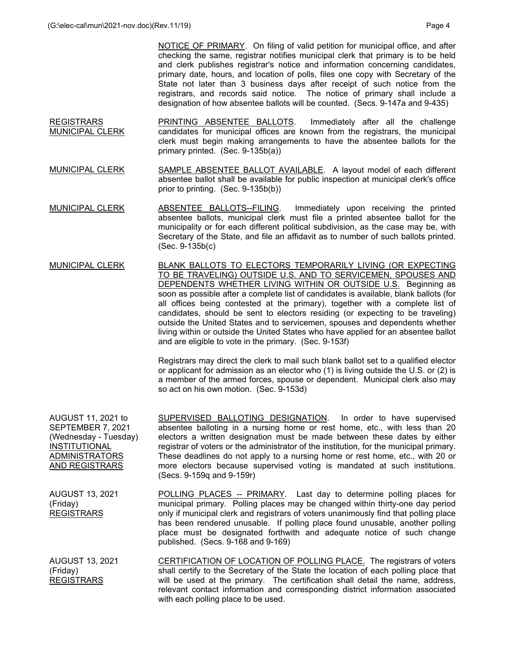NOTICE OF PRIMARY. On filing of valid petition for municipal office, and after checking the same, registrar notifies municipal clerk that primary is to be held and clerk publishes registrar's notice and information concerning candidates, primary date, hours, and location of polls, files one copy with Secretary of the State not later than 3 business days after receipt of such notice from the registrars, and records said notice. The notice of primary shall include a designation of how absentee ballots will be counted. (Secs. 9-147a and 9-435)

- **REGISTRARS** MUNICIPAL CLERK PRINTING ABSENTEE BALLOTS. Immediately after all the challenge candidates for municipal offices are known from the registrars, the municipal clerk must begin making arrangements to have the absentee ballots for the primary printed. (Sec. 9-135b(a))
- MUNICIPAL CLERK SAMPLE ABSENTEE BALLOT AVAILABLE. A layout model of each different absentee ballot shall be available for public inspection at municipal clerk's office prior to printing. (Sec. 9-135b(b))
- MUNICIPAL CLERK ABSENTEE BALLOTS--FILING. Immediately upon receiving the printed absentee ballots, municipal clerk must file a printed absentee ballot for the municipality or for each different political subdivision, as the case may be, with Secretary of the State, and file an affidavit as to number of such ballots printed. (Sec. 9-135b(c)
- MUNICIPAL CLERK BLANK BALLOTS TO ELECTORS TEMPORARILY LIVING (OR EXPECTING TO BE TRAVELING) OUTSIDE U.S. AND TO SERVICEMEN, SPOUSES AND DEPENDENTS WHETHER LIVING WITHIN OR OUTSIDE U.S. Beginning as soon as possible after a complete list of candidates is available, blank ballots (for all offices being contested at the primary), together with a complete list of candidates, should be sent to electors residing (or expecting to be traveling) outside the United States and to servicemen, spouses and dependents whether living within or outside the United States who have applied for an absentee ballot and are eligible to vote in the primary. (Sec. 9-153f)

 Registrars may direct the clerk to mail such blank ballot set to a qualified elector or applicant for admission as an elector who (1) is living outside the U.S. or (2) is a member of the armed forces, spouse or dependent. Municipal clerk also may so act on his own motion. (Sec. 9-153d)

AUGUST 11, 2021 to SEPTEMBER 7, 2021 (Wednesday - Tuesday) **INSTITUTIONAL** ADMINISTRATORS AND REGISTRARS SUPERVISED BALLOTING DESIGNATION. In order to have supervised absentee balloting in a nursing home or rest home, etc., with less than 20 electors a written designation must be made between these dates by either registrar of voters or the administrator of the institution, for the municipal primary. These deadlines do not apply to a nursing home or rest home, etc., with 20 or more electors because supervised voting is mandated at such institutions. (Secs. 9-159q and 9-159r) AUGUST 13, 2021 POLLING PLACES -- PRIMARY. Last day to determine polling places for

(Friday) REGISTRARS municipal primary. Polling places may be changed within thirty-one day period only if municipal clerk and registrars of voters unanimously find that polling place has been rendered unusable. If polling place found unusable, another polling place must be designated forthwith and adequate notice of such change published. (Secs. 9-168 and 9-169)

AUGUST 13, 2021 (Friday) REGISTRARS CERTIFICATION OF LOCATION OF POLLING PLACE. The registrars of voters shall certify to the Secretary of the State the location of each polling place that will be used at the primary. The certification shall detail the name, address, relevant contact information and corresponding district information associated with each polling place to be used.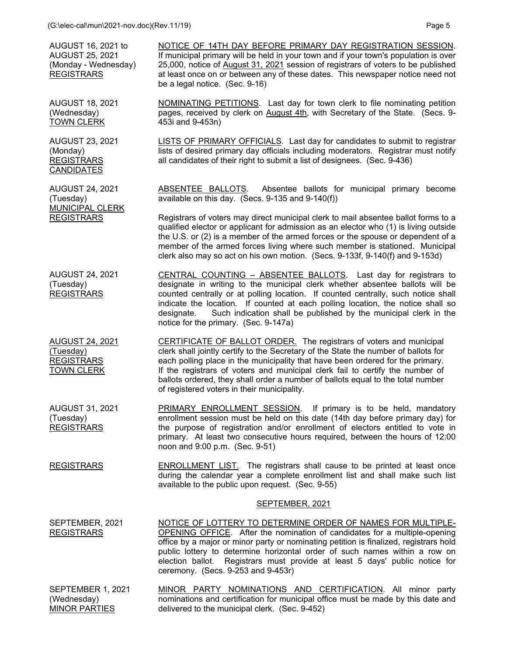| AUGUST 16, 2021 to<br><b>AUGUST 25, 2021</b><br>(Monday - Wednesday)<br><b>REGISTRARS</b> | NOTICE OF 14TH DAY BEFORE PRIMARY DAY REGISTRATION SESSION.<br>If municipal primary will be held in your town and if your town's population is over<br>25,000, notice of August 31, 2021 session of registrars of voters to be published<br>at least once on or between any of these dates. This newspaper notice need not<br>be a legal notice. (Sec. 9-16)                                                                                                    |
|-------------------------------------------------------------------------------------------|-----------------------------------------------------------------------------------------------------------------------------------------------------------------------------------------------------------------------------------------------------------------------------------------------------------------------------------------------------------------------------------------------------------------------------------------------------------------|
| <b>AUGUST 18, 2021</b><br>(Wednesday)<br><b>TOWN CLERK</b>                                | <b>NOMINATING PETITIONS.</b> Last day for town clerk to file nominating petition<br>pages, received by clerk on August 4th, with Secretary of the State. (Secs. 9-<br>453i and 9-453n)                                                                                                                                                                                                                                                                          |
| <b>AUGUST 23, 2021</b><br>(Monday)<br><b>REGISTRARS</b><br><b>CANDIDATES</b>              | LISTS OF PRIMARY OFFICIALS. Last day for candidates to submit to registrar<br>lists of desired primary day officials including moderators. Registrar must notify<br>all candidates of their right to submit a list of designees. (Sec. 9-436)                                                                                                                                                                                                                   |
| <b>AUGUST 24, 2021</b><br>(Tuesday)<br>MUNICIPAL CLERK                                    | ABSENTEE BALLOTS. Absentee ballots for municipal primary become<br>available on this day. (Secs. 9-135 and 9-140(f))                                                                                                                                                                                                                                                                                                                                            |
| <b>REGISTRARS</b>                                                                         | Registrars of voters may direct municipal clerk to mail absentee ballot forms to a<br>qualified elector or applicant for admission as an elector who (1) is living outside<br>the U.S. or (2) is a member of the armed forces or the spouse or dependent of a<br>member of the armed forces living where such member is stationed. Municipal<br>clerk also may so act on his own motion. (Secs. 9-133f, 9-140(f) and 9-153d)                                    |
| <b>AUGUST 24, 2021</b><br>(Tuesday)<br><b>REGISTRARS</b>                                  | CENTRAL COUNTING - ABSENTEE BALLOTS. Last day for registrars to<br>designate in writing to the municipal clerk whether absentee ballots will be<br>counted centrally or at polling location. If counted centrally, such notice shall<br>indicate the location. If counted at each polling location, the notice shall so<br>Such indication shall be published by the municipal clerk in the<br>designate.<br>notice for the primary. (Sec. 9-147a)              |
| <b>AUGUST 24, 2021</b><br>(Tuesday)<br><b>REGISTRARS</b><br><b>TOWN CLERK</b>             | CERTIFICATE OF BALLOT ORDER. The registrars of voters and municipal<br>clerk shall jointly certify to the Secretary of the State the number of ballots for<br>each polling place in the municipality that have been ordered for the primary.<br>If the registrars of voters and municipal clerk fail to certify the number of<br>ballots ordered, they shall order a number of ballots equal to the total number<br>of registered voters in their municipality. |
| <b>AUGUST 31, 2021</b><br>(Tuesday)<br><b>REGISTRARS</b>                                  | PRIMARY ENROLLMENT SESSION.<br>If primary is to be held, mandatory<br>enrollment session must be held on this date (14th day before primary day) for<br>the purpose of registration and/or enrollment of electors entitled to vote in<br>primary. At least two consecutive hours required, between the hours of 12:00<br>noon and 9:00 p.m. (Sec. 9-51)                                                                                                         |
| <b>REGISTRARS</b>                                                                         | <b>ENROLLMENT LIST.</b> The registrars shall cause to be printed at least once<br>during the calendar year a complete enrollment list and shall make such list<br>available to the public upon request. (Sec. 9-55)                                                                                                                                                                                                                                             |
|                                                                                           | SEPTEMBER, 2021                                                                                                                                                                                                                                                                                                                                                                                                                                                 |
| SEPTEMBER, 2021<br><b>REGISTRARS</b>                                                      | NOTICE OF LOTTERY TO DETERMINE ORDER OF NAMES FOR MULTIPLE-<br>OPENING OFFICE. After the nomination of candidates for a multiple-opening<br>office by a major or minor party or nominating petition is finalized, registrars hold<br>public lottery to determine horizontal order of such names within a row on<br>election ballot. Registrars must provide at least 5 days' public notice for<br>ceremony. (Secs. 9-253 and 9-453r)                            |
| SEPTEMBER 1, 2021<br>(Wednesday)<br><b>MINOR PARTIES</b>                                  | MINOR PARTY NOMINATIONS AND CERTIFICATION. All minor party<br>nominations and certification for municipal office must be made by this date and<br>delivered to the municipal clerk. (Sec. 9-452)                                                                                                                                                                                                                                                                |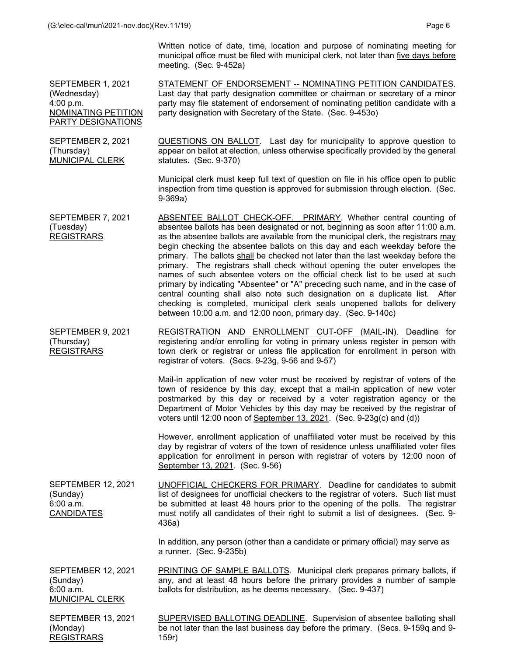Written notice of date, time, location and purpose of nominating meeting for municipal office must be filed with municipal clerk, not later than five days before meeting. (Sec. 9-452a)

SEPTEMBER 1, 2021 (Wednesday) 4:00 p.m. NOMINATING PETITION PARTY DESIGNATIONS

SEPTEMBER 2, 2021

MUNICIPAL CLERK

(Thursday)

STATEMENT OF ENDORSEMENT -- NOMINATING PETITION CANDIDATES. Last day that party designation committee or chairman or secretary of a minor party may file statement of endorsement of nominating petition candidate with a party designation with Secretary of the State. (Sec. 9-453o)

QUESTIONS ON BALLOT. Last day for municipality to approve question to appear on ballot at election, unless otherwise specifically provided by the general statutes. (Sec. 9-370)

Municipal clerk must keep full text of question on file in his office open to public inspection from time question is approved for submission through election. (Sec. 9-369a)

SEPTEMBER 7, 2021 (Tuesday) REGISTRARS ABSENTEE BALLOT CHECK-OFF. PRIMARY. Whether central counting of absentee ballots has been designated or not, beginning as soon after 11:00 a.m. as the absentee ballots are available from the municipal clerk, the registrars may begin checking the absentee ballots on this day and each weekday before the primary. The ballots shall be checked not later than the last weekday before the primary. The registrars shall check without opening the outer envelopes the names of such absentee voters on the official check list to be used at such primary by indicating "Absentee" or "A" preceding such name, and in the case of central counting shall also note such designation on a duplicate list. After checking is completed, municipal clerk seals unopened ballots for delivery between 10:00 a.m. and 12:00 noon, primary day. (Sec. 9-140c)

SEPTEMBER 9, 2021 (Thursday) REGISTRARS REGISTRATION AND ENROLLMENT CUT-OFF (MAIL-IN). Deadline for registering and/or enrolling for voting in primary unless register in person with town clerk or registrar or unless file application for enrollment in person with registrar of voters. (Secs. 9-23g, 9-56 and 9-57)

> Mail-in application of new voter must be received by registrar of voters of the town of residence by this day, except that a mail-in application of new voter postmarked by this day or received by a voter registration agency or the Department of Motor Vehicles by this day may be received by the registrar of voters until 12:00 noon of September 13, 2021. (Sec. 9-23g(c) and (d))

> However, enrollment application of unaffiliated voter must be received by this day by registrar of voters of the town of residence unless unaffiliated voter files application for enrollment in person with registrar of voters by 12:00 noon of September 13, 2021. (Sec. 9-56)

SEPTEMBER 12, 2021 (Sunday) 6:00 a.m. CANDIDATES UNOFFICIAL CHECKERS FOR PRIMARY. Deadline for candidates to submit list of designees for unofficial checkers to the registrar of voters. Such list must be submitted at least 48 hours prior to the opening of the polls. The registrar must notify all candidates of their right to submit a list of designees. (Sec. 9- 436a)

> In addition, any person (other than a candidate or primary official) may serve as a runner. (Sec. 9-235b)

SEPTEMBER 12, 2021 (Sunday) 6:00 a.m. MUNICIPAL CLERK PRINTING OF SAMPLE BALLOTS. Municipal clerk prepares primary ballots, if any, and at least 48 hours before the primary provides a number of sample ballots for distribution, as he deems necessary. (Sec. 9-437)

SEPTEMBER 13, 2021 (Monday) REGISTRARS SUPERVISED BALLOTING DEADLINE. Supervision of absentee balloting shall be not later than the last business day before the primary. (Secs. 9-159q and 9- 159r)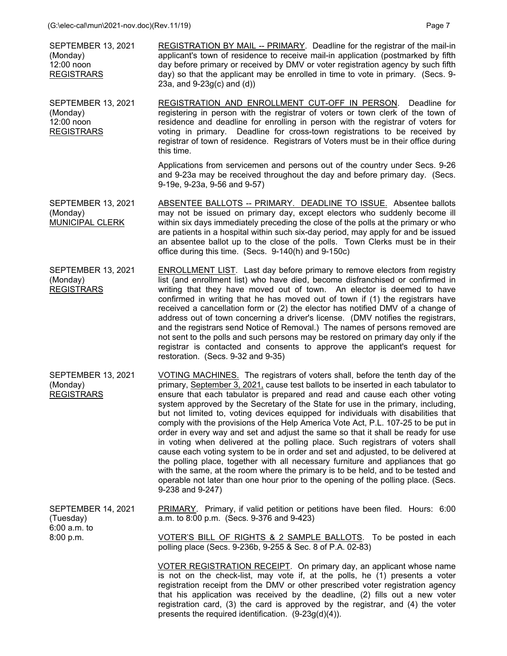| <b>SEPTEMBER 13, 2021</b><br>(Monday)<br>12:00 noon<br><b>REGISTRARS</b> | REGISTRATION BY MAIL -- PRIMARY. Deadline for the registrar of the mail-in<br>applicant's town of residence to receive mail-in application (postmarked by fifth<br>day before primary or received by DMV or voter registration agency by such fifth<br>day) so that the applicant may be enrolled in time to vote in primary. (Secs. 9-<br>23a, and $9-23g(c)$ and $(d)$ )                                                                                                                                                                                                                                                                                                                                                                                                                                                                                                                                                                                                                                                                                  |
|--------------------------------------------------------------------------|-------------------------------------------------------------------------------------------------------------------------------------------------------------------------------------------------------------------------------------------------------------------------------------------------------------------------------------------------------------------------------------------------------------------------------------------------------------------------------------------------------------------------------------------------------------------------------------------------------------------------------------------------------------------------------------------------------------------------------------------------------------------------------------------------------------------------------------------------------------------------------------------------------------------------------------------------------------------------------------------------------------------------------------------------------------|
| <b>SEPTEMBER 13, 2021</b><br>(Monday)<br>12:00 noon<br><b>REGISTRARS</b> | REGISTRATION AND ENROLLMENT CUT-OFF IN PERSON. Deadline for<br>registering in person with the registrar of voters or town clerk of the town of<br>residence and deadline for enrolling in person with the registrar of voters for<br>voting in primary. Deadline for cross-town registrations to be received by<br>registrar of town of residence. Registrars of Voters must be in their office during<br>this time.                                                                                                                                                                                                                                                                                                                                                                                                                                                                                                                                                                                                                                        |
|                                                                          | Applications from servicemen and persons out of the country under Secs. 9-26<br>and 9-23a may be received throughout the day and before primary day. (Secs.<br>9-19e, 9-23a, 9-56 and 9-57)                                                                                                                                                                                                                                                                                                                                                                                                                                                                                                                                                                                                                                                                                                                                                                                                                                                                 |
| <b>SEPTEMBER 13, 2021</b><br>(Monday)<br>MUNICIPAL CLERK                 | ABSENTEE BALLOTS -- PRIMARY. DEADLINE TO ISSUE. Absentee ballots<br>may not be issued on primary day, except electors who suddenly become ill<br>within six days immediately preceding the close of the polls at the primary or who<br>are patients in a hospital within such six-day period, may apply for and be issued<br>an absentee ballot up to the close of the polls. Town Clerks must be in their<br>office during this time. (Secs. 9-140(h) and 9-150c)                                                                                                                                                                                                                                                                                                                                                                                                                                                                                                                                                                                          |
| <b>SEPTEMBER 13, 2021</b><br>(Monday)<br><b>REGISTRARS</b>               | ENROLLMENT LIST. Last day before primary to remove electors from registry<br>list (and enrollment list) who have died, become disfranchised or confirmed in<br>writing that they have moved out of town. An elector is deemed to have<br>confirmed in writing that he has moved out of town if (1) the registrars have<br>received a cancellation form or (2) the elector has notified DMV of a change of<br>address out of town concerning a driver's license. (DMV notifies the registrars,<br>and the registrars send Notice of Removal.) The names of persons removed are<br>not sent to the polls and such persons may be restored on primary day only if the<br>registrar is contacted and consents to approve the applicant's request for<br>restoration. (Secs. 9-32 and 9-35)                                                                                                                                                                                                                                                                      |
| <b>SEPTEMBER 13, 2021</b><br>(Monday)<br><b>REGISTRARS</b>               | VOTING MACHINES. The registrars of voters shall, before the tenth day of the<br>primary, September 3, 2021, cause test ballots to be inserted in each tabulator to<br>ensure that each tabulator is prepared and read and cause each other voting<br>system approved by the Secretary of the State for use in the primary, including,<br>but not limited to, voting devices equipped for individuals with disabilities that<br>comply with the provisions of the Help America Vote Act, P.L. 107-25 to be put in<br>order in every way and set and adjust the same so that it shall be ready for use<br>in voting when delivered at the polling place. Such registrars of voters shall<br>cause each voting system to be in order and set and adjusted, to be delivered at<br>the polling place, together with all necessary furniture and appliances that go<br>with the same, at the room where the primary is to be held, and to be tested and<br>operable not later than one hour prior to the opening of the polling place. (Secs.<br>9-238 and 9-247) |
| SEPTEMBER 14, 2021<br>(Tuesday)<br>6:00 a.m. to<br>8:00 p.m.             | PRIMARY. Primary, if valid petition or petitions have been filed. Hours: 6:00<br>a.m. to 8:00 p.m. (Secs. 9-376 and 9-423)                                                                                                                                                                                                                                                                                                                                                                                                                                                                                                                                                                                                                                                                                                                                                                                                                                                                                                                                  |
|                                                                          | VOTER'S BILL OF RIGHTS & 2 SAMPLE BALLOTS. To be posted in each<br>polling place (Secs. 9-236b, 9-255 & Sec. 8 of P.A. 02-83)                                                                                                                                                                                                                                                                                                                                                                                                                                                                                                                                                                                                                                                                                                                                                                                                                                                                                                                               |
|                                                                          | VOTER REGISTRATION RECEIPT. On primary day, an applicant whose name<br>is not on the check-list, may vote if, at the polls, he (1) presents a voter<br>registration receipt from the DMV or other prescribed voter registration agency                                                                                                                                                                                                                                                                                                                                                                                                                                                                                                                                                                                                                                                                                                                                                                                                                      |

that his application was received by the deadline, (2) fills out a new voter registration card, (3) the card is approved by the registrar, and (4) the voter

presents the required identification. (9-23g(d)(4)).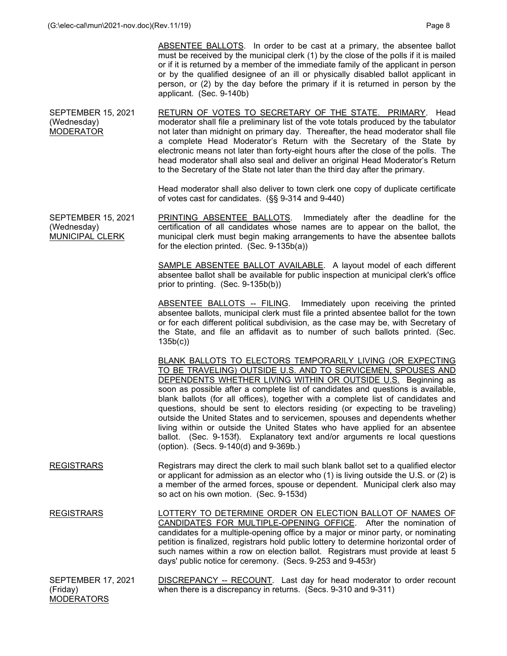ABSENTEE BALLOTS. In order to be cast at a primary, the absentee ballot must be received by the municipal clerk (1) by the close of the polls if it is mailed or if it is returned by a member of the immediate family of the applicant in person or by the qualified designee of an ill or physically disabled ballot applicant in person, or (2) by the day before the primary if it is returned in person by the applicant. (Sec. 9-140b)

SEPTEMBER 15, 2021 (Wednesday) MODERATOR RETURN OF VOTES TO SECRETARY OF THE STATE. PRIMARY. Head moderator shall file a preliminary list of the vote totals produced by the tabulator not later than midnight on primary day. Thereafter, the head moderator shall file a complete Head Moderator's Return with the Secretary of the State by electronic means not later than forty-eight hours after the close of the polls. The head moderator shall also seal and deliver an original Head Moderator's Return to the Secretary of the State not later than the third day after the primary.

> Head moderator shall also deliver to town clerk one copy of duplicate certificate of votes cast for candidates. (§§ 9-314 and 9-440)

SEPTEMBER 15, 2021 (Wednesday) MUNICIPAL CLERK PRINTING ABSENTEE BALLOTS. Immediately after the deadline for the certification of all candidates whose names are to appear on the ballot, the municipal clerk must begin making arrangements to have the absentee ballots for the election printed. (Sec. 9-135b(a))

> SAMPLE ABSENTEE BALLOT AVAILABLE. A layout model of each different absentee ballot shall be available for public inspection at municipal clerk's office prior to printing. (Sec. 9-135b(b))

> ABSENTEE BALLOTS -- FILING. Immediately upon receiving the printed absentee ballots, municipal clerk must file a printed absentee ballot for the town or for each different political subdivision, as the case may be, with Secretary of the State, and file an affidavit as to number of such ballots printed. (Sec. 135b(c))

> BLANK BALLOTS TO ELECTORS TEMPORARILY LIVING (OR EXPECTING TO BE TRAVELING) OUTSIDE U.S. AND TO SERVICEMEN, SPOUSES AND DEPENDENTS WHETHER LIVING WITHIN OR OUTSIDE U.S. Beginning as soon as possible after a complete list of candidates and questions is available, blank ballots (for all offices), together with a complete list of candidates and questions, should be sent to electors residing (or expecting to be traveling) outside the United States and to servicemen, spouses and dependents whether living within or outside the United States who have applied for an absentee ballot. (Sec. 9-153f). Explanatory text and/or arguments re local questions (option). (Secs. 9-140(d) and 9-369b.)

- REGISTRARS Registrars may direct the clerk to mail such blank ballot set to a qualified elector or applicant for admission as an elector who (1) is living outside the U.S. or (2) is a member of the armed forces, spouse or dependent. Municipal clerk also may so act on his own motion. (Sec. 9-153d)
- REGISTRARS LOTTERY TO DETERMINE ORDER ON ELECTION BALLOT OF NAMES OF CANDIDATES FOR MULTIPLE-OPENING OFFICE. After the nomination of candidates for a multiple-opening office by a major or minor party, or nominating petition is finalized, registrars hold public lottery to determine horizontal order of such names within a row on election ballot. Registrars must provide at least 5 days' public notice for ceremony. (Secs. 9-253 and 9-453r)
- SEPTEMBER 17, 2021 (Friday) **MODERATORS** DISCREPANCY -- RECOUNT. Last day for head moderator to order recount when there is a discrepancy in returns. (Secs. 9-310 and 9-311)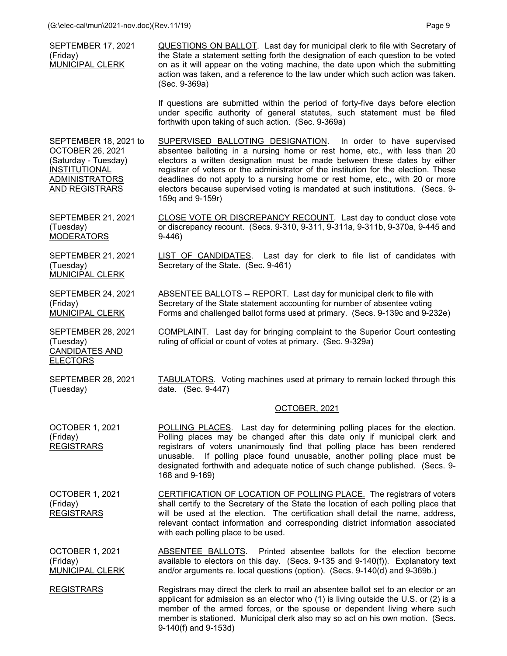| SEPTEMBER 17, 2021<br>(Friday)<br>MUNICIPAL CLERK                                                                                                  | QUESTIONS ON BALLOT. Last day for municipal clerk to file with Secretary of<br>the State a statement setting forth the designation of each question to be voted<br>on as it will appear on the voting machine, the date upon which the submitting<br>action was taken, and a reference to the law under which such action was taken.<br>(Sec. 9-369a)                                                                                                                                                 |
|----------------------------------------------------------------------------------------------------------------------------------------------------|-------------------------------------------------------------------------------------------------------------------------------------------------------------------------------------------------------------------------------------------------------------------------------------------------------------------------------------------------------------------------------------------------------------------------------------------------------------------------------------------------------|
|                                                                                                                                                    | If questions are submitted within the period of forty-five days before election<br>under specific authority of general statutes, such statement must be filed<br>forthwith upon taking of such action. (Sec. 9-369a)                                                                                                                                                                                                                                                                                  |
| SEPTEMBER 18, 2021 to<br><b>OCTOBER 26, 2021</b><br>(Saturday - Tuesday)<br><b>INSTITUTIONAL</b><br><b>ADMINISTRATORS</b><br><b>AND REGISTRARS</b> | SUPERVISED BALLOTING DESIGNATION. In order to have supervised<br>absentee balloting in a nursing home or rest home, etc., with less than 20<br>electors a written designation must be made between these dates by either<br>registrar of voters or the administrator of the institution for the election. These<br>deadlines do not apply to a nursing home or rest home, etc., with 20 or more<br>electors because supervised voting is mandated at such institutions. (Secs. 9-<br>159q and 9-159r) |
| <b>SEPTEMBER 21, 2021</b><br>(Tuesday)<br><b>MODERATORS</b>                                                                                        | CLOSE VOTE OR DISCREPANCY RECOUNT. Last day to conduct close vote<br>or discrepancy recount. (Secs. 9-310, 9-311, 9-311a, 9-311b, 9-370a, 9-445 and<br>$9-446)$                                                                                                                                                                                                                                                                                                                                       |
| <b>SEPTEMBER 21, 2021</b><br>(Tuesday)<br><b>MUNICIPAL CLERK</b>                                                                                   | LIST OF CANDIDATES. Last day for clerk to file list of candidates with<br>Secretary of the State. (Sec. 9-461)                                                                                                                                                                                                                                                                                                                                                                                        |
| <b>SEPTEMBER 24, 2021</b><br>(Friday)<br><b>MUNICIPAL CLERK</b>                                                                                    | ABSENTEE BALLOTS -- REPORT. Last day for municipal clerk to file with<br>Secretary of the State statement accounting for number of absentee voting<br>Forms and challenged ballot forms used at primary. (Secs. 9-139c and 9-232e)                                                                                                                                                                                                                                                                    |
| <b>SEPTEMBER 28, 2021</b><br>(Tuesday)<br><b>CANDIDATES AND</b><br><b>ELECTORS</b>                                                                 | <b>COMPLAINT.</b> Last day for bringing complaint to the Superior Court contesting<br>ruling of official or count of votes at primary. (Sec. 9-329a)                                                                                                                                                                                                                                                                                                                                                  |
| <b>SEPTEMBER 28, 2021</b><br>(Tuesday)                                                                                                             | <b>TABULATORS.</b> Voting machines used at primary to remain locked through this<br>date. (Sec. 9-447)                                                                                                                                                                                                                                                                                                                                                                                                |
|                                                                                                                                                    | OCTOBER, 2021                                                                                                                                                                                                                                                                                                                                                                                                                                                                                         |
| OCTOBER 1, 2021<br>(Friday)<br><b>REGISTRARS</b>                                                                                                   | POLLING PLACES. Last day for determining polling places for the election.<br>Polling places may be changed after this date only if municipal clerk and<br>registrars of voters unanimously find that polling place has been rendered<br>unusable. If polling place found unusable, another polling place must be<br>designated forthwith and adequate notice of such change published. (Secs. 9-<br>168 and 9-169)                                                                                    |
| <b>OCTOBER 1, 2021</b><br>(Friday)<br><b>REGISTRARS</b>                                                                                            | <b>CERTIFICATION OF LOCATION OF POLLING PLACE.</b> The registrars of voters<br>shall certify to the Secretary of the State the location of each polling place that<br>will be used at the election. The certification shall detail the name, address,<br>relevant contact information and corresponding district information associated<br>with each polling place to be used.                                                                                                                        |
| <b>OCTOBER 1, 2021</b><br>(Friday)<br><b>MUNICIPAL CLERK</b>                                                                                       | ABSENTEE BALLOTS. Printed absentee ballots for the election become<br>available to electors on this day. (Secs. 9-135 and 9-140(f)). Explanatory text<br>and/or arguments re. local questions (option). (Secs. 9-140(d) and 9-369b.)                                                                                                                                                                                                                                                                  |
| <b>REGISTRARS</b>                                                                                                                                  | Registrars may direct the clerk to mail an absentee ballot set to an elector or an<br>applicant for admission as an elector who $(1)$ is living outside the U.S. or $(2)$ is a                                                                                                                                                                                                                                                                                                                        |

member of the armed forces, or the spouse or dependent living where such member is stationed. Municipal clerk also may so act on his own motion. (Secs.

9-140(f) and 9-153d)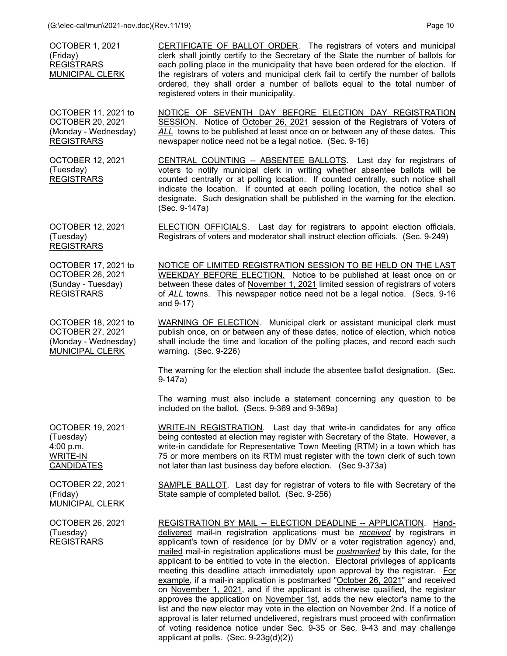OCTOBER 1, 2021 (Friday) **REGISTRARS** MUNICIPAL CLERK CERTIFICATE OF BALLOT ORDER. The registrars of voters and municipal clerk shall jointly certify to the Secretary of the State the number of ballots for each polling place in the municipality that have been ordered for the election. If the registrars of voters and municipal clerk fail to certify the number of ballots ordered, they shall order a number of ballots equal to the total number of registered voters in their municipality.

OCTOBER 11, 2021 to OCTOBER 20, 2021 (Monday - Wednesday) REGISTRARS NOTICE OF SEVENTH DAY BEFORE ELECTION DAY REGISTRATION SESSION. Notice of October 26, 2021 session of the Registrars of Voters of *ALL* towns to be published at least once on or between any of these dates. This newspaper notice need not be a legal notice. (Sec. 9-16)

OCTOBER 12, 2021 (Tuesday) REGISTRARS CENTRAL COUNTING -- ABSENTEE BALLOTS. Last day for registrars of voters to notify municipal clerk in writing whether absentee ballots will be counted centrally or at polling location. If counted centrally, such notice shall indicate the location. If counted at each polling location, the notice shall so designate. Such designation shall be published in the warning for the election. (Sec. 9-147a)

OCTOBER 12, 2021 (Tuesday) REGISTRARS ELECTION OFFICIALS. Last day for registrars to appoint election officials. Registrars of voters and moderator shall instruct election officials. (Sec. 9-249)

OCTOBER 17, 2021 to OCTOBER 26, 2021 (Sunday - Tuesday) REGISTRARS

OCTOBER 18, 2021 to OCTOBER 27, 2021 (Monday - Wednesday) MUNICIPAL CLERK

NOTICE OF LIMITED REGISTRATION SESSION TO BE HELD ON THE LAST WEEKDAY BEFORE ELECTION. Notice to be published at least once on or between these dates of November 1, 2021 limited session of registrars of voters of *ALL* towns. This newspaper notice need not be a legal notice. (Secs. 9-16 and 9-17)

WARNING OF ELECTION. Municipal clerk or assistant municipal clerk must publish once, on or between any of these dates, notice of election, which notice shall include the time and location of the polling places, and record each such warning. (Sec. 9-226)

 The warning for the election shall include the absentee ballot designation. (Sec. 9-147a)

 The warning must also include a statement concerning any question to be included on the ballot. (Secs. 9-369 and 9-369a)

WRITE-IN REGISTRATION. Last day that write-in candidates for any office being contested at election may register with Secretary of the State. However, a write-in candidate for Representative Town Meeting (RTM) in a town which has 75 or more members on its RTM must register with the town clerk of such town

OCTOBER 19, 2021 (Tuesday) 4:00 p.m. WRITE-IN **CANDIDATES** 

OCTOBER 22, 2021 (Friday) MUNICIPAL CLERK

OCTOBER 26, 2021 (Tuesday) REGISTRARS

SAMPLE BALLOT. Last day for registrar of voters to file with Secretary of the State sample of completed ballot. (Sec. 9-256)

not later than last business day before election. (Sec 9-373a)

REGISTRATION BY MAIL -- ELECTION DEADLINE -- APPLICATION. Handdelivered mail-in registration applications must be *received* by registrars in applicant's town of residence (or by DMV or a voter registration agency) and, mailed mail-in registration applications must be *postmarked* by this date, for the applicant to be entitled to vote in the election. Electoral privileges of applicants meeting this deadline attach immediately upon approval by the registrar. For example, if a mail-in application is postmarked "October 26, 2021" and received on November 1, 2021, and if the applicant is otherwise qualified, the registrar approves the application on November 1st, adds the new elector's name to the list and the new elector may vote in the election on November 2nd. If a notice of approval is later returned undelivered, registrars must proceed with confirmation of voting residence notice under Sec. 9-35 or Sec. 9-43 and may challenge applicant at polls. (Sec. 9-23g(d)(2))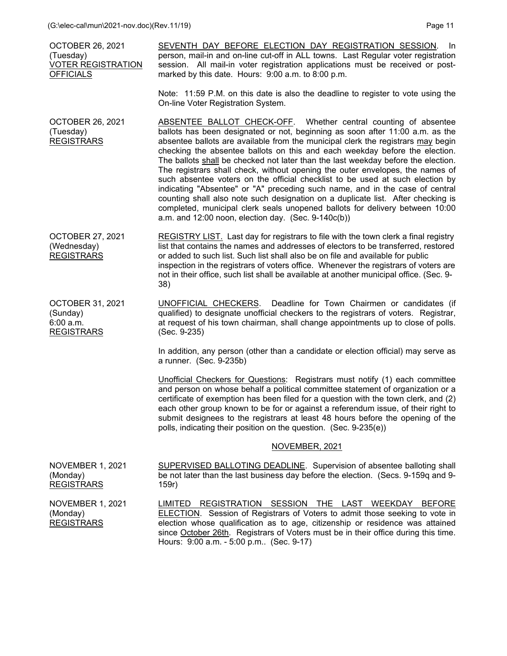| <b>OCTOBER 26, 2021</b><br>(Tuesday)<br><b>VOTER REGISTRATION</b><br><b>OFFICIALS</b> | SEVENTH DAY BEFORE ELECTION DAY REGISTRATION SESSION.<br>- In<br>person, mail-in and on-line cut-off in ALL towns. Last Regular voter registration<br>session. All mail-in voter registration applications must be received or post-<br>marked by this date. Hours: 9:00 a.m. to 8:00 p.m.                                                                                                                                                                                                                                                                                                                                                                                                                                                                                                                                                                                                        |
|---------------------------------------------------------------------------------------|---------------------------------------------------------------------------------------------------------------------------------------------------------------------------------------------------------------------------------------------------------------------------------------------------------------------------------------------------------------------------------------------------------------------------------------------------------------------------------------------------------------------------------------------------------------------------------------------------------------------------------------------------------------------------------------------------------------------------------------------------------------------------------------------------------------------------------------------------------------------------------------------------|
|                                                                                       | Note: 11:59 P.M. on this date is also the deadline to register to vote using the<br>On-line Voter Registration System.                                                                                                                                                                                                                                                                                                                                                                                                                                                                                                                                                                                                                                                                                                                                                                            |
| <b>OCTOBER 26, 2021</b><br>(Tuesday)<br><b>REGISTRARS</b>                             | <b>ABSENTEE BALLOT CHECK-OFF.</b> Whether central counting of absentee<br>ballots has been designated or not, beginning as soon after 11:00 a.m. as the<br>absentee ballots are available from the municipal clerk the registrars may begin<br>checking the absentee ballots on this and each weekday before the election.<br>The ballots shall be checked not later than the last weekday before the election.<br>The registrars shall check, without opening the outer envelopes, the names of<br>such absentee voters on the official checklist to be used at such election by<br>indicating "Absentee" or "A" preceding such name, and in the case of central<br>counting shall also note such designation on a duplicate list. After checking is<br>completed, municipal clerk seals unopened ballots for delivery between 10:00<br>a.m. and $12:00$ noon, election day. (Sec. $9-140c(b)$ ) |
| <b>OCTOBER 27, 2021</b><br>(Wednesday)<br><b>REGISTRARS</b>                           | REGISTRY LIST. Last day for registrars to file with the town clerk a final registry<br>list that contains the names and addresses of electors to be transferred, restored<br>or added to such list. Such list shall also be on file and available for public<br>inspection in the registrars of voters office. Whenever the registrars of voters are<br>not in their office, such list shall be available at another municipal office. (Sec. 9-<br>38)                                                                                                                                                                                                                                                                                                                                                                                                                                            |
| <b>OCTOBER 31, 2021</b><br>(Sunday)<br>6:00 a.m.<br><b>REGISTRARS</b>                 | <b>UNOFFICIAL CHECKERS.</b> Deadline for Town Chairmen or candidates (if<br>qualified) to designate unofficial checkers to the registrars of voters. Registrar,<br>at request of his town chairman, shall change appointments up to close of polls.<br>(Sec. 9-235)                                                                                                                                                                                                                                                                                                                                                                                                                                                                                                                                                                                                                               |
|                                                                                       | In addition, any person (other than a candidate or election official) may serve as<br>a runner. (Sec. 9-235b)                                                                                                                                                                                                                                                                                                                                                                                                                                                                                                                                                                                                                                                                                                                                                                                     |
|                                                                                       | Unofficial Checkers for Questions: Registrars must notify (1) each committee<br>and person on whose behalf a political committee statement of organization or a<br>certificate of exemption has been filed for a question with the town clerk, and (2)<br>each other group known to be for or against a referendum issue, of their right to<br>submit designees to the registrars at least 48 hours before the opening of the<br>polls, indicating their position on the question. (Sec. 9-235(e))                                                                                                                                                                                                                                                                                                                                                                                                |
|                                                                                       | NOVEMBER, 2021                                                                                                                                                                                                                                                                                                                                                                                                                                                                                                                                                                                                                                                                                                                                                                                                                                                                                    |
| <b>NOVEMBER 1, 2021</b><br>(Monday)<br><b>REGISTRARS</b>                              | <b>SUPERVISED BALLOTING DEADLINE.</b> Supervision of absentee balloting shall<br>be not later than the last business day before the election. (Secs. 9-159q and 9-<br>159r)                                                                                                                                                                                                                                                                                                                                                                                                                                                                                                                                                                                                                                                                                                                       |
| NOVEMBER 1, 2021<br>(Monday)<br><b>REGISTRARS</b>                                     | REGISTRATION SESSION THE LAST WEEKDAY<br>LIMITED<br><b>BEFORE</b><br>ELECTION. Session of Registrars of Voters to admit those seeking to vote in<br>election whose qualification as to age, citizenship or residence was attained<br>since October 26th. Registrars of Voters must be in their office during this time.<br>Hours: 9:00 a.m. - 5:00 p.m (Sec. 9-17)                                                                                                                                                                                                                                                                                                                                                                                                                                                                                                                                |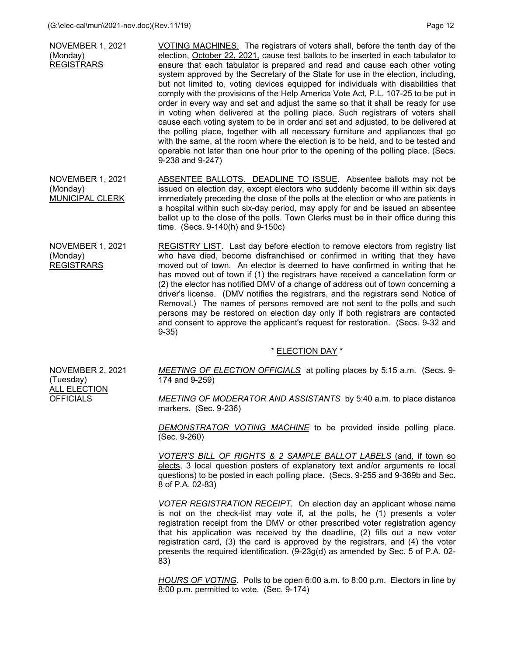| <b>NOVEMBER 1, 2021</b><br>(Monday)<br><b>REGISTRARS</b> | VOTING MACHINES. The registrars of voters shall, before the tenth day of the<br>election, October 22, 2021, cause test ballots to be inserted in each tabulator to<br>ensure that each tabulator is prepared and read and cause each other voting<br>system approved by the Secretary of the State for use in the election, including,<br>but not limited to, voting devices equipped for individuals with disabilities that<br>comply with the provisions of the Help America Vote Act, P.L. 107-25 to be put in<br>order in every way and set and adjust the same so that it shall be ready for use<br>in voting when delivered at the polling place. Such registrars of voters shall<br>cause each voting system to be in order and set and adjusted, to be delivered at<br>the polling place, together with all necessary furniture and appliances that go<br>with the same, at the room where the election is to be held, and to be tested and<br>operable not later than one hour prior to the opening of the polling place. (Secs.<br>9-238 and 9-247) |
|----------------------------------------------------------|---------------------------------------------------------------------------------------------------------------------------------------------------------------------------------------------------------------------------------------------------------------------------------------------------------------------------------------------------------------------------------------------------------------------------------------------------------------------------------------------------------------------------------------------------------------------------------------------------------------------------------------------------------------------------------------------------------------------------------------------------------------------------------------------------------------------------------------------------------------------------------------------------------------------------------------------------------------------------------------------------------------------------------------------------------------|
|                                                          |                                                                                                                                                                                                                                                                                                                                                                                                                                                                                                                                                                                                                                                                                                                                                                                                                                                                                                                                                                                                                                                               |

NOVEMBER 1, 2021 (Monday) MUNICIPAL CLERK ABSENTEE BALLOTS. DEADLINE TO ISSUE. Absentee ballots may not be issued on election day, except electors who suddenly become ill within six days immediately preceding the close of the polls at the election or who are patients in a hospital within such six-day period, may apply for and be issued an absentee ballot up to the close of the polls. Town Clerks must be in their office during this time. (Secs. 9-140(h) and 9-150c)

NOVEMBER 1, 2021 (Monday) REGISTRARS REGISTRY LIST. Last day before election to remove electors from registry list who have died, become disfranchised or confirmed in writing that they have moved out of town. An elector is deemed to have confirmed in writing that he has moved out of town if (1) the registrars have received a cancellation form or (2) the elector has notified DMV of a change of address out of town concerning a driver's license. (DMV notifies the registrars, and the registrars send Notice of Removal.) The names of persons removed are not sent to the polls and such persons may be restored on election day only if both registrars are contacted and consent to approve the applicant's request for restoration. (Secs. 9-32 and 9-35)

## \* ELECTION DAY \*

NOVEMBER 2, 2021 (Tuesday) ALL ELECTION **OFFICIALS** 

*MEETING OF ELECTION OFFICIALS* at polling places by 5:15 a.m. (Secs. 9- 174 and 9-259)

*MEETING OF MODERATOR AND ASSISTANTS* by 5:40 a.m. to place distance markers. (Sec. 9-236)

*DEMONSTRATOR VOTING MACHINE* to be provided inside polling place. (Sec. 9-260)

*VOTER'S BILL OF RIGHTS & 2 SAMPLE BALLOT LABELS* (and, if town so elects, 3 local question posters of explanatory text and/or arguments re local questions) to be posted in each polling place. (Secs. 9-255 and 9-369b and Sec. 8 of P.A. 02-83)

*VOTER REGISTRATION RECEIPT.* On election day an applicant whose name is not on the check-list may vote if, at the polls, he (1) presents a voter registration receipt from the DMV or other prescribed voter registration agency that his application was received by the deadline, (2) fills out a new voter registration card, (3) the card is approved by the registrars, and (4) the voter presents the required identification. (9-23g(d) as amended by Sec. 5 of P.A. 02- 83)

*HOURS OF VOTING*. Polls to be open 6:00 a.m. to 8:00 p.m. Electors in line by 8:00 p.m. permitted to vote. (Sec. 9-174)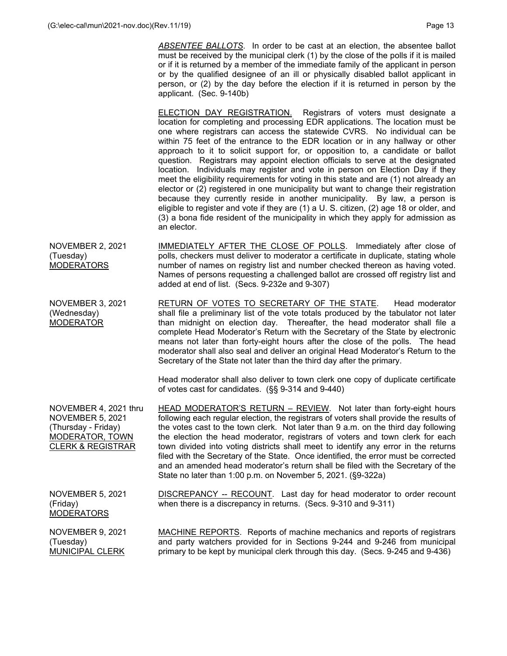*ABSENTEE BALLOTS*. In order to be cast at an election, the absentee ballot must be received by the municipal clerk (1) by the close of the polls if it is mailed or if it is returned by a member of the immediate family of the applicant in person or by the qualified designee of an ill or physically disabled ballot applicant in person, or (2) by the day before the election if it is returned in person by the applicant. (Sec. 9-140b)

 ELECTION DAY REGISTRATION. Registrars of voters must designate a location for completing and processing EDR applications. The location must be one where registrars can access the statewide CVRS. No individual can be within 75 feet of the entrance to the EDR location or in any hallway or other approach to it to solicit support for, or opposition to, a candidate or ballot question. Registrars may appoint election officials to serve at the designated location. Individuals may register and vote in person on Election Day if they meet the eligibility requirements for voting in this state and are (1) not already an elector or (2) registered in one municipality but want to change their registration because they currently reside in another municipality. By law, a person is eligible to register and vote if they are (1) a U. S. citizen, (2) age 18 or older, and (3) a bona fide resident of the municipality in which they apply for admission as an elector.

- NOVEMBER 2, 2021 (Tuesday) **MODERATORS** IMMEDIATELY AFTER THE CLOSE OF POLLS. Immediately after close of polls, checkers must deliver to moderator a certificate in duplicate, stating whole number of names on registry list and number checked thereon as having voted. Names of persons requesting a challenged ballot are crossed off registry list and added at end of list. (Secs. 9-232e and 9-307)
- NOVEMBER 3, 2021 (Wednesday) MODERATOR RETURN OF VOTES TO SECRETARY OF THE STATE. Head moderator shall file a preliminary list of the vote totals produced by the tabulator not later than midnight on election day. Thereafter, the head moderator shall file a complete Head Moderator's Return with the Secretary of the State by electronic means not later than forty-eight hours after the close of the polls. The head moderator shall also seal and deliver an original Head Moderator's Return to the Secretary of the State not later than the third day after the primary.

Head moderator shall also deliver to town clerk one copy of duplicate certificate of votes cast for candidates. (§§ 9-314 and 9-440)

NOVEMBER 4, 2021 thru NOVEMBER 5, 2021 (Thursday - Friday) MODERATOR, TOWN CLERK & REGISTRAR HEAD MODERATOR'S RETURN – REVIEW. Not later than forty-eight hours following each regular election, the registrars of voters shall provide the results of the votes cast to the town clerk. Not later than 9 a.m. on the third day following the election the head moderator, registrars of voters and town clerk for each town divided into voting districts shall meet to identify any error in the returns filed with the Secretary of the State. Once identified, the error must be corrected and an amended head moderator's return shall be filed with the Secretary of the State no later than 1:00 p.m. on November 5, 2021. (§9-322a)

NOVEMBER 5, 2021 (Friday) MODERATORS

DISCREPANCY -- RECOUNT. Last day for head moderator to order recount when there is a discrepancy in returns. (Secs. 9-310 and 9-311)

NOVEMBER 9, 2021 (Tuesday) MUNICIPAL CLERK MACHINE REPORTS. Reports of machine mechanics and reports of registrars and party watchers provided for in Sections 9-244 and 9-246 from municipal primary to be kept by municipal clerk through this day. (Secs. 9-245 and 9-436)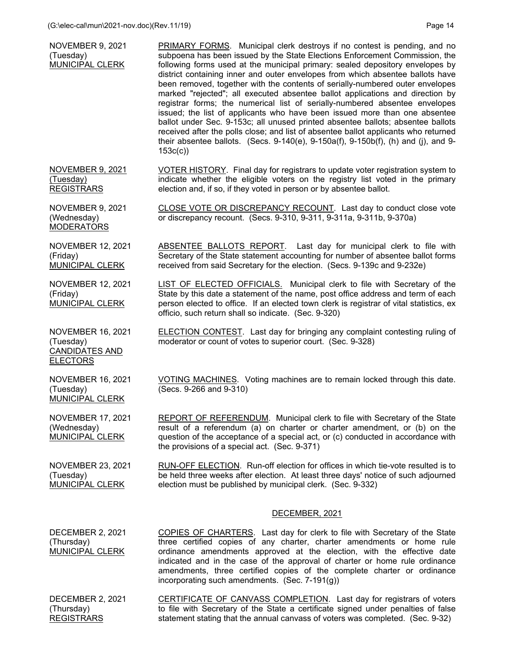NOVEMBER 9, 2021

| (Tuesday)<br>MUNICIPAL CLERK                                                      | subpoena has been issued by the State Elections Enforcement Commission, the<br>following forms used at the municipal primary: sealed depository envelopes by<br>district containing inner and outer envelopes from which absentee ballots have<br>been removed, together with the contents of serially-numbered outer envelopes<br>marked "rejected"; all executed absentee ballot applications and direction by<br>registrar forms; the numerical list of serially-numbered absentee envelopes<br>issued; the list of applicants who have been issued more than one absentee<br>ballot under Sec. 9-153c; all unused printed absentee ballots; absentee ballots<br>received after the polls close; and list of absentee ballot applicants who returned<br>their absentee ballots. (Secs. 9-140(e), 9-150a(f), 9-150b(f), (h) and (j), and 9-<br>153c(c) |
|-----------------------------------------------------------------------------------|----------------------------------------------------------------------------------------------------------------------------------------------------------------------------------------------------------------------------------------------------------------------------------------------------------------------------------------------------------------------------------------------------------------------------------------------------------------------------------------------------------------------------------------------------------------------------------------------------------------------------------------------------------------------------------------------------------------------------------------------------------------------------------------------------------------------------------------------------------|
| <b>NOVEMBER 9, 2021</b><br>(Tuesday)<br><b>REGISTRARS</b>                         | VOTER HISTORY. Final day for registrars to update voter registration system to<br>indicate whether the eligible voters on the registry list voted in the primary<br>election and, if so, if they voted in person or by absentee ballot.                                                                                                                                                                                                                                                                                                                                                                                                                                                                                                                                                                                                                  |
| <b>NOVEMBER 9, 2021</b><br>(Wednesday)<br><b>MODERATORS</b>                       | CLOSE VOTE OR DISCREPANCY RECOUNT. Last day to conduct close vote<br>or discrepancy recount. (Secs. 9-310, 9-311, 9-311a, 9-311b, 9-370a)                                                                                                                                                                                                                                                                                                                                                                                                                                                                                                                                                                                                                                                                                                                |
| <b>NOVEMBER 12, 2021</b><br>(Friday)<br><b>MUNICIPAL CLERK</b>                    | ABSENTEE BALLOTS REPORT. Last day for municipal clerk to file with<br>Secretary of the State statement accounting for number of absentee ballot forms<br>received from said Secretary for the election. (Secs. 9-139c and 9-232e)                                                                                                                                                                                                                                                                                                                                                                                                                                                                                                                                                                                                                        |
| <b>NOVEMBER 12, 2021</b><br>(Friday)<br><b>MUNICIPAL CLERK</b>                    | <b>LIST OF ELECTED OFFICIALS.</b> Municipal clerk to file with Secretary of the<br>State by this date a statement of the name, post office address and term of each<br>person elected to office. If an elected town clerk is registrar of vital statistics, ex<br>officio, such return shall so indicate. (Sec. 9-320)                                                                                                                                                                                                                                                                                                                                                                                                                                                                                                                                   |
| <b>NOVEMBER 16, 2021</b><br>(Tuesday)<br><b>CANDIDATES AND</b><br><b>ELECTORS</b> | <b>ELECTION CONTEST.</b> Last day for bringing any complaint contesting ruling of<br>moderator or count of votes to superior court. (Sec. 9-328)                                                                                                                                                                                                                                                                                                                                                                                                                                                                                                                                                                                                                                                                                                         |
| <b>NOVEMBER 16, 2021</b><br>(Tuesday)<br>MUNICIPAL CLERK                          | VOTING MACHINES. Voting machines are to remain locked through this date.<br>(Secs. 9-266 and 9-310)                                                                                                                                                                                                                                                                                                                                                                                                                                                                                                                                                                                                                                                                                                                                                      |
| <b>NOVEMBER 17, 2021</b><br>(Wednesday)<br>MUNICIPAL CLERK                        | <b>REPORT OF REFERENDUM.</b> Municipal clerk to file with Secretary of the State<br>result of a referendum (a) on charter or charter amendment, or (b) on the<br>question of the acceptance of a special act, or (c) conducted in accordance with<br>the provisions of a special act. (Sec. 9-371)                                                                                                                                                                                                                                                                                                                                                                                                                                                                                                                                                       |
| <b>NOVEMBER 23, 2021</b><br>(Tuesday)<br>MUNICIPAL CLERK                          | RUN-OFF ELECTION. Run-off election for offices in which tie-vote resulted is to<br>be held three weeks after election. At least three days' notice of such adjourned<br>election must be published by municipal clerk. (Sec. 9-332)                                                                                                                                                                                                                                                                                                                                                                                                                                                                                                                                                                                                                      |
|                                                                                   | DECEMBER, 2021                                                                                                                                                                                                                                                                                                                                                                                                                                                                                                                                                                                                                                                                                                                                                                                                                                           |
| DECEMBER 2, 2021<br>(Thursday)<br><b>MUNICIPAL CLERK</b>                          | <b>COPIES OF CHARTERS.</b> Last day for clerk to file with Secretary of the State<br>three certified copies of any charter, charter amendments or home rule<br>ordinance amendments approved at the election, with the effective date<br>indicated and in the case of the approval of charter or home rule ordinance<br>amendments, three certified copies of the complete charter or ordinance<br>incorporating such amendments. (Sec. 7-191(g))                                                                                                                                                                                                                                                                                                                                                                                                        |
| DECEMBER 2, 2021<br>(Thursday)<br><b>REGISTRARS</b>                               | CERTIFICATE OF CANVASS COMPLETION. Last day for registrars of voters<br>to file with Secretary of the State a certificate signed under penalties of false<br>statement stating that the annual canvass of voters was completed. (Sec. 9-32)                                                                                                                                                                                                                                                                                                                                                                                                                                                                                                                                                                                                              |

PRIMARY FORMS. Municipal clerk destroys if no contest is pending, and no